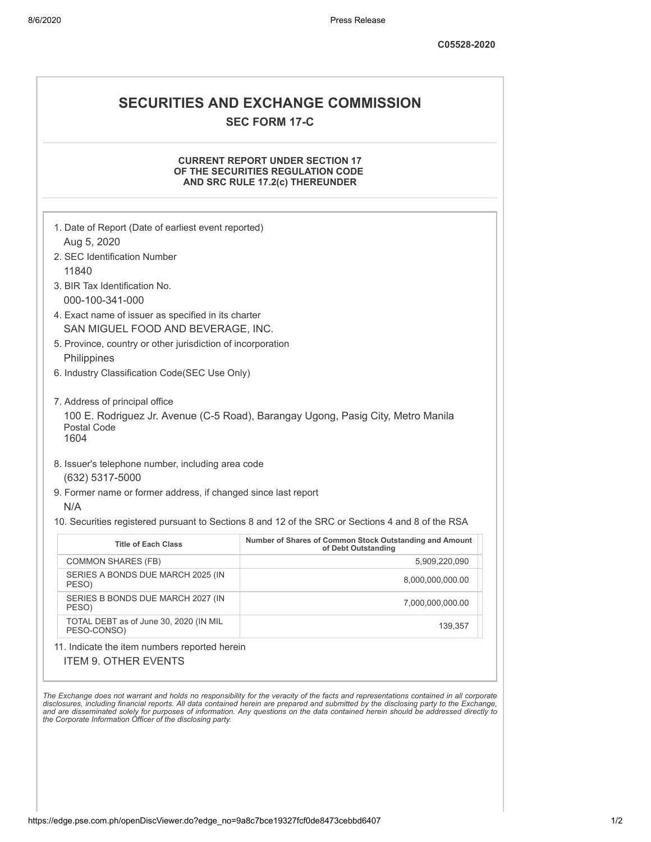## **SECURITIES AND EXCHANGE COMMISSION SEC FORM 17-C**

## **CURRENT REPORT UNDER SECTION 17 OF THE SECURITIES REGULATION CODE AND SRC RULE 17.2(c) THEREUNDER**

| 1. Date of Report (Date of earliest event reported)<br>Aug 5, 2020                                                                            |                                                                                                   |
|-----------------------------------------------------------------------------------------------------------------------------------------------|---------------------------------------------------------------------------------------------------|
| 2. SEC Identification Number                                                                                                                  |                                                                                                   |
| 11840                                                                                                                                         |                                                                                                   |
| 3. BIR Tax Identification No.<br>000-100-341-000                                                                                              |                                                                                                   |
| 4. Exact name of issuer as specified in its charter<br>SAN MIGUEL FOOD AND BEVERAGE, INC.                                                     |                                                                                                   |
| 5. Province, country or other jurisdiction of incorporation<br>Philippines                                                                    |                                                                                                   |
| 6. Industry Classification Code(SEC Use Only)                                                                                                 |                                                                                                   |
| Postal Code<br>1604                                                                                                                           |                                                                                                   |
| 8. Issuer's telephone number, including area code<br>(632) 5317-5000<br>9. Former name or former address, if changed since last report<br>N/A | 10. Securities registered pursuant to Sections 8 and 12 of the SRC or Sections 4 and 8 of the RSA |
| <b>Title of Each Class</b>                                                                                                                    | Number of Shares of Common Stock Outstanding and Amount                                           |
| <b>COMMON SHARES (FB)</b>                                                                                                                     | of Debt Outstanding<br>5,909,220,090                                                              |
| SERIES A BONDS DUE MARCH 2025 (IN<br>PESO)                                                                                                    | 8,000,000,000.00                                                                                  |
| SERIES B BONDS DUE MARCH 2027 (IN<br>PESO)                                                                                                    | 7,000,000,000.00                                                                                  |
| TOTAL DEBT as of June 30, 2020 (IN MIL<br>PESO-CONSO)                                                                                         | 139,357                                                                                           |
| 11. Indicate the item numbers reported herein                                                                                                 |                                                                                                   |
| <b>ITEM 9. OTHER EVENTS</b>                                                                                                                   |                                                                                                   |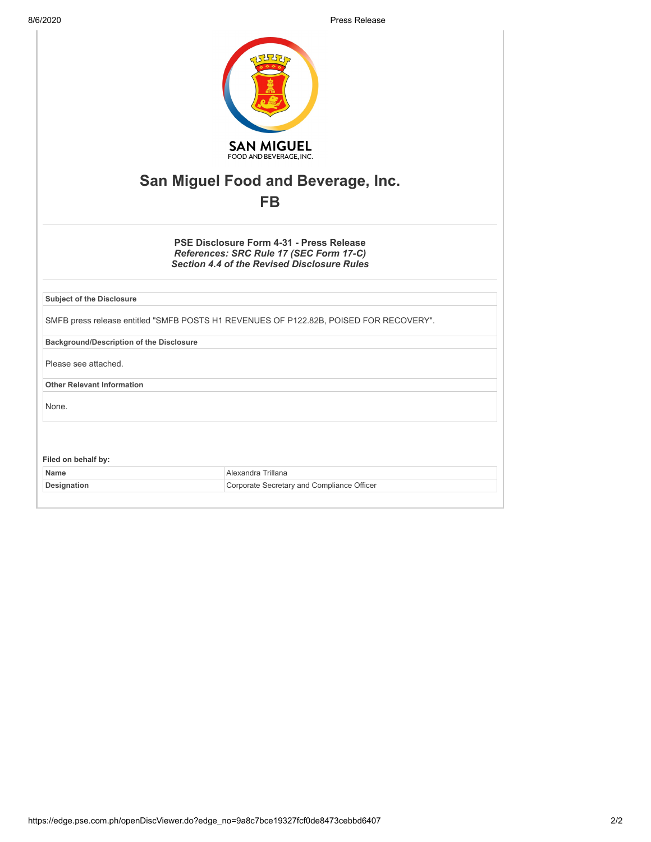8/6/2020 Press Release

| <b>SAN MIGUEL</b><br>FOOD AND BEVERAGE, INC.                                                                                              |  |  |
|-------------------------------------------------------------------------------------------------------------------------------------------|--|--|
| San Miguel Food and Beverage, Inc.                                                                                                        |  |  |
| <b>FB</b>                                                                                                                                 |  |  |
| PSE Disclosure Form 4-31 - Press Release<br>References: SRC Rule 17 (SEC Form 17-C)<br><b>Section 4.4 of the Revised Disclosure Rules</b> |  |  |
| <b>Subject of the Disclosure</b>                                                                                                          |  |  |
| SMFB press release entitled "SMFB POSTS H1 REVENUES OF P122.82B, POISED FOR RECOVERY".                                                    |  |  |
| <b>Background/Description of the Disclosure</b>                                                                                           |  |  |
| Please see attached.                                                                                                                      |  |  |
| <b>Other Relevant Information</b>                                                                                                         |  |  |
| None.                                                                                                                                     |  |  |
|                                                                                                                                           |  |  |
| Filed on behalf by:                                                                                                                       |  |  |
| Alexandra Trillana<br>Name                                                                                                                |  |  |
| Corporate Secretary and Compliance Officer<br>Designation                                                                                 |  |  |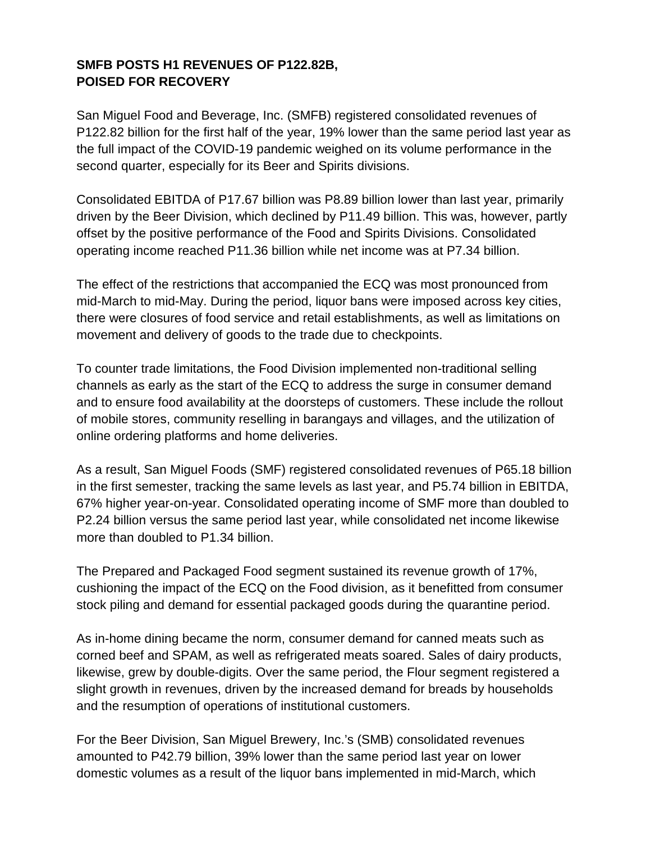## **SMFB POSTS H1 REVENUES OF P122.82B, POISED FOR RECOVERY**

San Miguel Food and Beverage, Inc. (SMFB) registered consolidated revenues of P122.82 billion for the first half of the year, 19% lower than the same period last year as the full impact of the COVID-19 pandemic weighed on its volume performance in the second quarter, especially for its Beer and Spirits divisions.

Consolidated EBITDA of P17.67 billion was P8.89 billion lower than last year, primarily driven by the Beer Division, which declined by P11.49 billion. This was, however, partly offset by the positive performance of the Food and Spirits Divisions. Consolidated operating income reached P11.36 billion while net income was at P7.34 billion.

The effect of the restrictions that accompanied the ECQ was most pronounced from mid-March to mid-May. During the period, liquor bans were imposed across key cities, there were closures of food service and retail establishments, as well as limitations on movement and delivery of goods to the trade due to checkpoints.

To counter trade limitations, the Food Division implemented non-traditional selling channels as early as the start of the ECQ to address the surge in consumer demand and to ensure food availability at the doorsteps of customers. These include the rollout of mobile stores, community reselling in barangays and villages, and the utilization of online ordering platforms and home deliveries.

As a result, San Miguel Foods (SMF) registered consolidated revenues of P65.18 billion in the first semester, tracking the same levels as last year, and P5.74 billion in EBITDA, 67% higher year-on-year. Consolidated operating income of SMF more than doubled to P2.24 billion versus the same period last year, while consolidated net income likewise more than doubled to P1.34 billion.

The Prepared and Packaged Food segment sustained its revenue growth of 17%, cushioning the impact of the ECQ on the Food division, as it benefitted from consumer stock piling and demand for essential packaged goods during the quarantine period.

As in-home dining became the norm, consumer demand for canned meats such as corned beef and SPAM, as well as refrigerated meats soared. Sales of dairy products, likewise, grew by double-digits. Over the same period, the Flour segment registered a slight growth in revenues, driven by the increased demand for breads by households and the resumption of operations of institutional customers.

For the Beer Division, San Miguel Brewery, Inc.'s (SMB) consolidated revenues amounted to P42.79 billion, 39% lower than the same period last year on lower domestic volumes as a result of the liquor bans implemented in mid-March, which